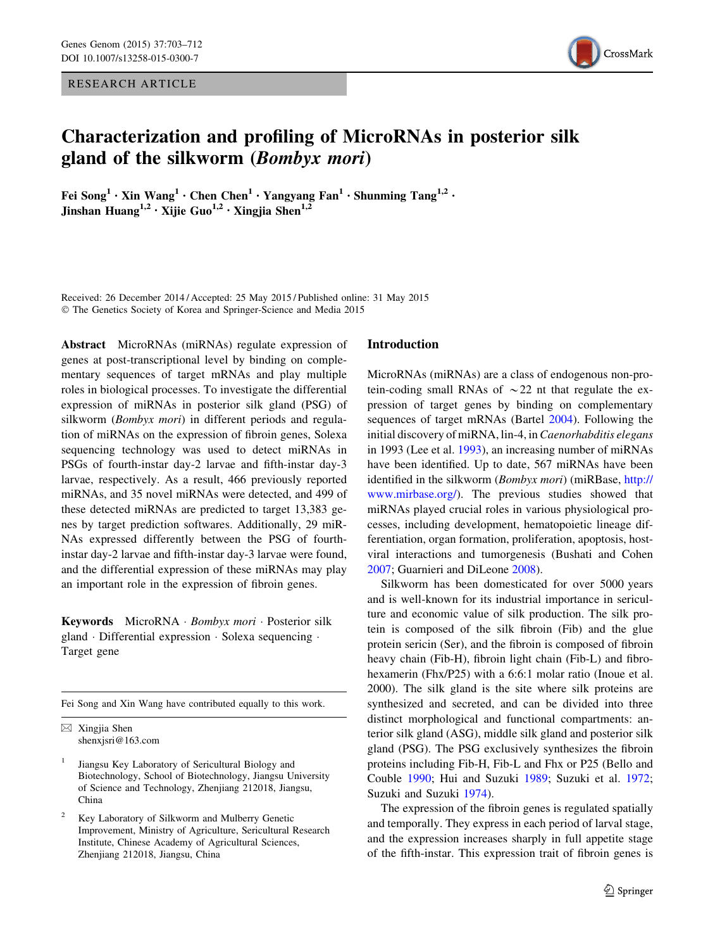RESEARCH ARTICLE



# Characterization and profiling of MicroRNAs in posterior silk gland of the silkworm (Bombyx mori)

Fei Song<sup>1</sup> • Xin Wang<sup>1</sup> • Chen Chen<sup>1</sup> • Yangyang Fan<sup>1</sup> • Shunming Tang<sup>1,2</sup> • Jinshan Huang<sup>1,2</sup> · Xijie Guo<sup>1,2</sup> · Xingjia Shen<sup>1,2</sup>

Received: 26 December 2014 / Accepted: 25 May 2015 / Published online: 31 May 2015 - The Genetics Society of Korea and Springer-Science and Media 2015

Abstract MicroRNAs (miRNAs) regulate expression of genes at post-transcriptional level by binding on complementary sequences of target mRNAs and play multiple roles in biological processes. To investigate the differential expression of miRNAs in posterior silk gland (PSG) of silkworm (Bombyx mori) in different periods and regulation of miRNAs on the expression of fibroin genes, Solexa sequencing technology was used to detect miRNAs in PSGs of fourth-instar day-2 larvae and fifth-instar day-3 larvae, respectively. As a result, 466 previously reported miRNAs, and 35 novel miRNAs were detected, and 499 of these detected miRNAs are predicted to target 13,383 genes by target prediction softwares. Additionally, 29 miR-NAs expressed differently between the PSG of fourthinstar day-2 larvae and fifth-instar day-3 larvae were found, and the differential expression of these miRNAs may play an important role in the expression of fibroin genes.

Keywords MicroRNA · Bombyx mori · Posterior silk gland · Differential expression · Solexa sequencing · Target gene

Fei Song and Xin Wang have contributed equally to this work.

 $\boxtimes$  Xingjia Shen shenxjsri@163.com

- <sup>1</sup> Jiangsu Key Laboratory of Sericultural Biology and Biotechnology, School of Biotechnology, Jiangsu University of Science and Technology, Zhenjiang 212018, Jiangsu, China
- <sup>2</sup> Key Laboratory of Silkworm and Mulberry Genetic Improvement, Ministry of Agriculture, Sericultural Research Institute, Chinese Academy of Agricultural Sciences, Zhenjiang 212018, Jiangsu, China

#### Introduction

MicroRNAs (miRNAs) are a class of endogenous non-protein-coding small RNAs of  $\sim$  22 nt that regulate the expression of target genes by binding on complementary sequences of target mRNAs (Bartel [2004](#page-8-0)). Following the initial discovery of miRNA, lin-4, in Caenorhabditis elegans in 1993 (Lee et al. [1993](#page-8-0)), an increasing number of miRNAs have been identified. Up to date, 567 miRNAs have been identified in the silkworm (Bombyx mori) (miRBase, [http://](http://www.mirbase.org/) [www.mirbase.org/](http://www.mirbase.org/)). The previous studies showed that miRNAs played crucial roles in various physiological processes, including development, hematopoietic lineage differentiation, organ formation, proliferation, apoptosis, hostviral interactions and tumorgenesis (Bushati and Cohen [2007](#page-8-0); Guarnieri and DiLeone [2008\)](#page-8-0).

Silkworm has been domesticated for over 5000 years and is well-known for its industrial importance in sericulture and economic value of silk production. The silk protein is composed of the silk fibroin (Fib) and the glue protein sericin (Ser), and the fibroin is composed of fibroin heavy chain (Fib-H), fibroin light chain (Fib-L) and fibrohexamerin (Fhx/P25) with a 6:6:1 molar ratio (Inoue et al. 2000). The silk gland is the site where silk proteins are synthesized and secreted, and can be divided into three distinct morphological and functional compartments: anterior silk gland (ASG), middle silk gland and posterior silk gland (PSG). The PSG exclusively synthesizes the fibroin proteins including Fib-H, Fib-L and Fhx or P25 (Bello and Couble [1990](#page-8-0); Hui and Suzuki [1989;](#page-8-0) Suzuki et al. [1972](#page-9-0); Suzuki and Suzuki [1974](#page-9-0)).

The expression of the fibroin genes is regulated spatially and temporally. They express in each period of larval stage, and the expression increases sharply in full appetite stage of the fifth-instar. This expression trait of fibroin genes is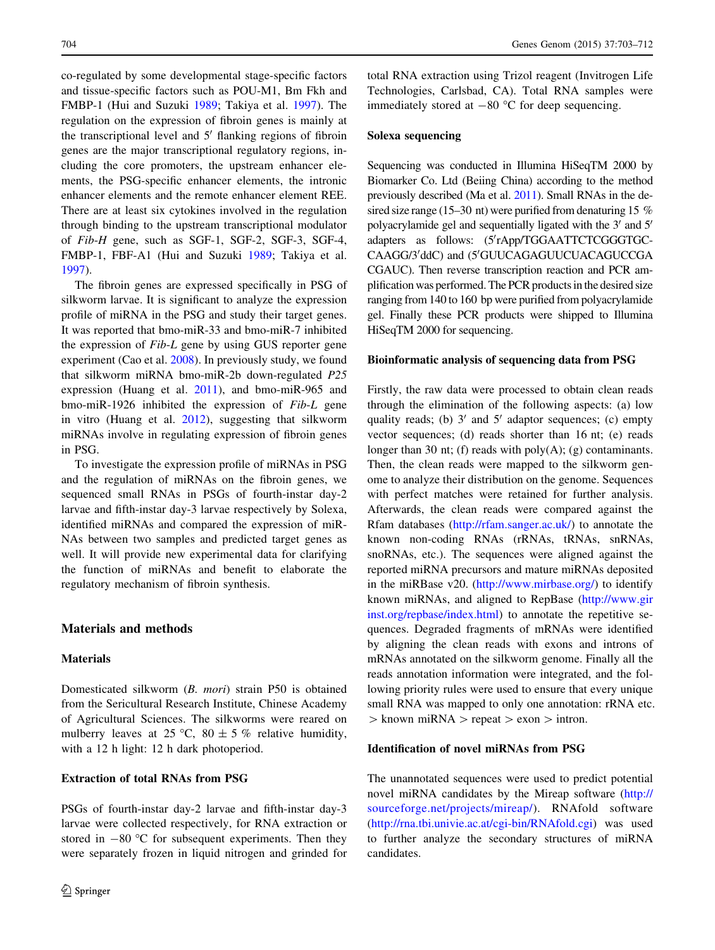co-regulated by some developmental stage-specific factors and tissue-specific factors such as POU-M1, Bm Fkh and FMBP-1 (Hui and Suzuki [1989](#page-8-0); Takiya et al. [1997\)](#page-9-0). The regulation on the expression of fibroin genes is mainly at the transcriptional level and  $5<sup>'</sup>$  flanking regions of fibroin genes are the major transcriptional regulatory regions, including the core promoters, the upstream enhancer elements, the PSG-specific enhancer elements, the intronic enhancer elements and the remote enhancer element REE. There are at least six cytokines involved in the regulation through binding to the upstream transcriptional modulator of Fib-H gene, such as SGF-1, SGF-2, SGF-3, SGF-4, FMBP-1, FBF-A1 (Hui and Suzuki [1989;](#page-8-0) Takiya et al. [1997\)](#page-9-0).

The fibroin genes are expressed specifically in PSG of silkworm larvae. It is significant to analyze the expression profile of miRNA in the PSG and study their target genes. It was reported that bmo-miR-33 and bmo-miR-7 inhibited the expression of Fib-L gene by using GUS reporter gene experiment (Cao et al. [2008\)](#page-8-0). In previously study, we found that silkworm miRNA bmo-miR-2b down-regulated P25 expression (Huang et al. [2011\)](#page-8-0), and bmo-miR-965 and bmo-miR-1926 inhibited the expression of Fib-L gene in vitro (Huang et al. [2012\)](#page-8-0), suggesting that silkworm miRNAs involve in regulating expression of fibroin genes in PSG.

To investigate the expression profile of miRNAs in PSG and the regulation of miRNAs on the fibroin genes, we sequenced small RNAs in PSGs of fourth-instar day-2 larvae and fifth-instar day-3 larvae respectively by Solexa, identified miRNAs and compared the expression of miR-NAs between two samples and predicted target genes as well. It will provide new experimental data for clarifying the function of miRNAs and benefit to elaborate the regulatory mechanism of fibroin synthesis.

## Materials and methods

#### **Materials**

Domesticated silkworm (B. mori) strain P50 is obtained from the Sericultural Research Institute, Chinese Academy of Agricultural Sciences. The silkworms were reared on mulberry leaves at 25 °C, 80  $\pm$  5 % relative humidity, with a 12 h light: 12 h dark photoperiod.

## Extraction of total RNAs from PSG

PSGs of fourth-instar day-2 larvae and fifth-instar day-3 larvae were collected respectively, for RNA extraction or stored in  $-80$  °C for subsequent experiments. Then they were separately frozen in liquid nitrogen and grinded for total RNA extraction using Trizol reagent (Invitrogen Life Technologies, Carlsbad, CA). Total RNA samples were immediately stored at  $-80$  °C for deep sequencing.

# Solexa sequencing

Sequencing was conducted in Illumina HiSeqTM 2000 by Biomarker Co. Ltd (Beiing China) according to the method previously described (Ma et al. [2011\)](#page-9-0). Small RNAs in the desired size range (15–30 nt) were purified from denaturing 15 % polyacrylamide gel and sequentially ligated with the  $3'$  and  $5'$ adapters as follows: (5'rApp/TGGAATTCTCGGGTGC-CAAGG/3'ddC) and (5'GUUCAGAGUUCUACAGUCCGA CGAUC). Then reverse transcription reaction and PCR amplification was performed. The PCR products in the desired size ranging from 140 to 160 bp were purified from polyacrylamide gel. Finally these PCR products were shipped to Illumina HiSeqTM 2000 for sequencing.

### Bioinformatic analysis of sequencing data from PSG

Firstly, the raw data were processed to obtain clean reads through the elimination of the following aspects: (a) low quality reads; (b)  $3'$  and  $5'$  adaptor sequences; (c) empty vector sequences; (d) reads shorter than 16 nt; (e) reads longer than 30 nt; (f) reads with  $poly(A)$ ; (g) contaminants. Then, the clean reads were mapped to the silkworm genome to analyze their distribution on the genome. Sequences with perfect matches were retained for further analysis. Afterwards, the clean reads were compared against the Rfam databases ([http://rfam.sanger.ac.uk/\)](http://rfam.sanger.ac.uk/) to annotate the known non-coding RNAs (rRNAs, tRNAs, snRNAs, snoRNAs, etc.). The sequences were aligned against the reported miRNA precursors and mature miRNAs deposited in the miRBase v20. (<http://www.mirbase.org/>) to identify known miRNAs, and aligned to RepBase [\(http://www.gir](http://www.girinst.org/repbase/index.html) [inst.org/repbase/index.html\)](http://www.girinst.org/repbase/index.html) to annotate the repetitive sequences. Degraded fragments of mRNAs were identified by aligning the clean reads with exons and introns of mRNAs annotated on the silkworm genome. Finally all the reads annotation information were integrated, and the following priority rules were used to ensure that every unique small RNA was mapped to only one annotation: rRNA etc.  $>$  known miRNA  $>$  repeat  $>$  exon  $>$  intron.

#### Identification of novel miRNAs from PSG

The unannotated sequences were used to predict potential novel miRNA candidates by the Mireap software [\(http://](http://sourceforge.net/projects/mireap/) [sourceforge.net/projects/mireap/](http://sourceforge.net/projects/mireap/)). RNAfold software [\(http://rna.tbi.univie.ac.at/cgi-bin/RNAfold.cgi](http://rna.tbi.univie.ac.at/cgi-bin/RNAfold.cgi)) was used to further analyze the secondary structures of miRNA candidates.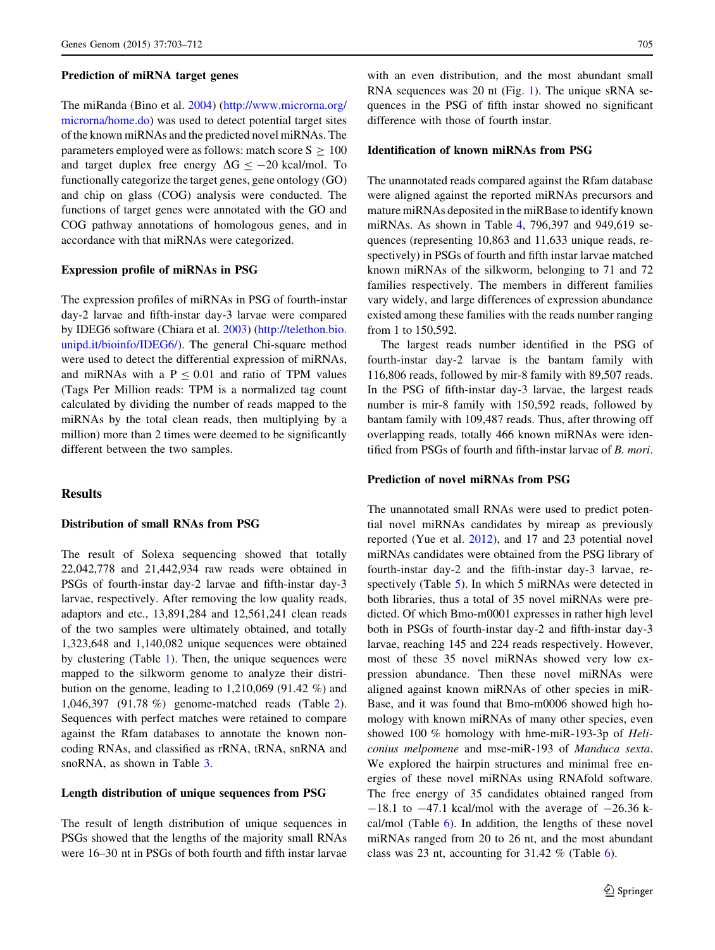#### Prediction of miRNA target genes

The miRanda (Bino et al. [2004\)](#page-8-0) [\(http://www.microrna.org/](http://www.microrna.org/microrna/home.do) [microrna/home.do\)](http://www.microrna.org/microrna/home.do) was used to detect potential target sites of the known miRNAs and the predicted novel miRNAs. The parameters employed were as follows: match score  $S \ge 100$ and target duplex free energy  $\Delta G \le -20$  kcal/mol. To functionally categorize the target genes, gene ontology (GO) and chip on glass (COG) analysis were conducted. The functions of target genes were annotated with the GO and COG pathway annotations of homologous genes, and in accordance with that miRNAs were categorized.

#### Expression profile of miRNAs in PSG

The expression profiles of miRNAs in PSG of fourth-instar day-2 larvae and fifth-instar day-3 larvae were compared by IDEG6 software (Chiara et al. [2003\)](#page-8-0) [\(http://telethon.bio.](http://telethon.bio.unipd.it/bioinfo/IDEG6/) [unipd.it/bioinfo/IDEG6/](http://telethon.bio.unipd.it/bioinfo/IDEG6/)). The general Chi-square method were used to detect the differential expression of miRNAs, and miRNAs with a  $P \le 0.01$  and ratio of TPM values (Tags Per Million reads: TPM is a normalized tag count calculated by dividing the number of reads mapped to the miRNAs by the total clean reads, then multiplying by a million) more than 2 times were deemed to be significantly different between the two samples.

#### Results

## Distribution of small RNAs from PSG

The result of Solexa sequencing showed that totally 22,042,778 and 21,442,934 raw reads were obtained in PSGs of fourth-instar day-2 larvae and fifth-instar day-3 larvae, respectively. After removing the low quality reads, adaptors and etc., 13,891,284 and 12,561,241 clean reads of the two samples were ultimately obtained, and totally 1,323,648 and 1,140,082 unique sequences were obtained by clustering (Table [1](#page-3-0)). Then, the unique sequences were mapped to the silkworm genome to analyze their distribution on the genome, leading to 1,210,069 (91.42 %) and 1,046,397 (91.78 %) genome-matched reads (Table [2](#page-3-0)). Sequences with perfect matches were retained to compare against the Rfam databases to annotate the known noncoding RNAs, and classified as rRNA, tRNA, snRNA and snoRNA, as shown in Table [3.](#page-3-0)

#### Length distribution of unique sequences from PSG

The result of length distribution of unique sequences in PSGs showed that the lengths of the majority small RNAs were 16–30 nt in PSGs of both fourth and fifth instar larvae

with an even distribution, and the most abundant small RNA sequences was 20 nt (Fig. [1](#page-3-0)). The unique sRNA sequences in the PSG of fifth instar showed no significant difference with those of fourth instar.

## Identification of known miRNAs from PSG

The unannotated reads compared against the Rfam database were aligned against the reported miRNAs precursors and mature miRNAs deposited in the miRBase to identify known miRNAs. As shown in Table [4](#page-4-0), 796,397 and 949,619 sequences (representing 10,863 and 11,633 unique reads, respectively) in PSGs of fourth and fifth instar larvae matched known miRNAs of the silkworm, belonging to 71 and 72 families respectively. The members in different families vary widely, and large differences of expression abundance existed among these families with the reads number ranging from 1 to 150,592.

The largest reads number identified in the PSG of fourth-instar day-2 larvae is the bantam family with 116,806 reads, followed by mir-8 family with 89,507 reads. In the PSG of fifth-instar day-3 larvae, the largest reads number is mir-8 family with 150,592 reads, followed by bantam family with 109,487 reads. Thus, after throwing off overlapping reads, totally 466 known miRNAs were identified from PSGs of fourth and fifth-instar larvae of B. mori.

### Prediction of novel miRNAs from PSG

The unannotated small RNAs were used to predict potential novel miRNAs candidates by mireap as previously reported (Yue et al. [2012\)](#page-9-0), and 17 and 23 potential novel miRNAs candidates were obtained from the PSG library of fourth-instar day-2 and the fifth-instar day-3 larvae, respectively (Table [5](#page-4-0)). In which 5 miRNAs were detected in both libraries, thus a total of 35 novel miRNAs were predicted. Of which Bmo-m0001 expresses in rather high level both in PSGs of fourth-instar day-2 and fifth-instar day-3 larvae, reaching 145 and 224 reads respectively. However, most of these 35 novel miRNAs showed very low expression abundance. Then these novel miRNAs were aligned against known miRNAs of other species in miR-Base, and it was found that Bmo-m0006 showed high homology with known miRNAs of many other species, even showed 100 % homology with hme-miR-193-3p of Heliconius melpomene and mse-miR-193 of Manduca sexta. We explored the hairpin structures and minimal free energies of these novel miRNAs using RNAfold software. The free energy of 35 candidates obtained ranged from  $-18.1$  to  $-47.1$  kcal/mol with the average of  $-26.36$  kcal/mol (Table [6\)](#page-5-0). In addition, the lengths of these novel miRNAs ranged from 20 to 26 nt, and the most abundant class was 23 nt, accounting for 31.42 % (Table [6\)](#page-5-0).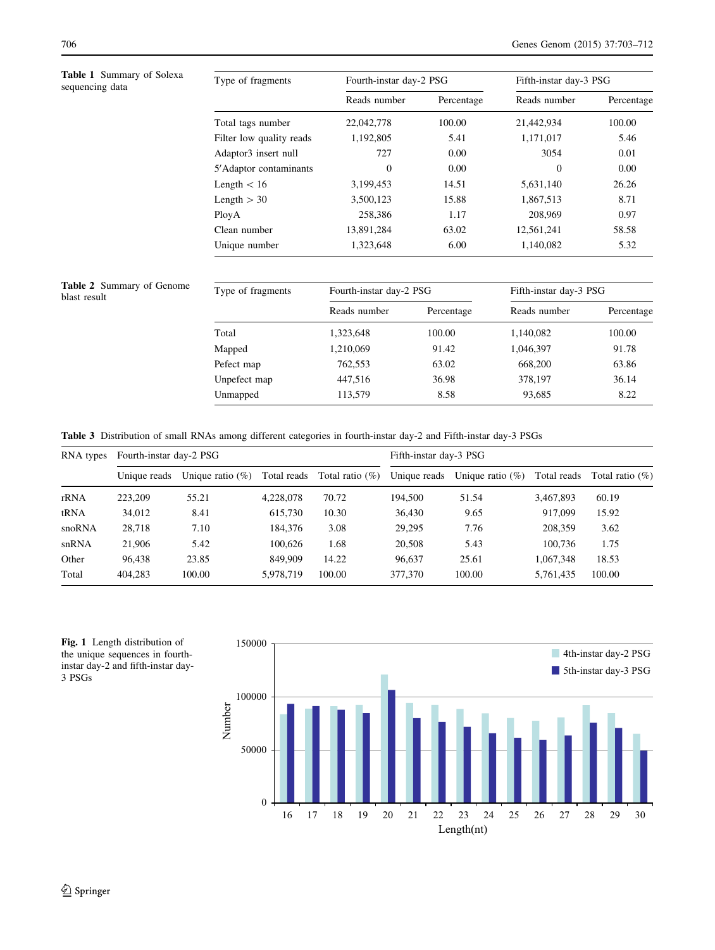Table 1 Summary of Solexa<br>sequencing data

<span id="page-3-0"></span>

| <b>Table 1</b> Summary of Solexa<br>sequencing data | Type of fragments                | Fourth-instar day-2 PSG |            | Fifth-instar day-3 PSG |            |  |
|-----------------------------------------------------|----------------------------------|-------------------------|------------|------------------------|------------|--|
|                                                     |                                  | Reads number            | Percentage | Reads number           | Percentage |  |
|                                                     | Total tags number                | 22,042,778              | 100.00     | 21,442,934             | 100.00     |  |
|                                                     | Filter low quality reads         | 1,192,805               | 5.41       | 1,171,017              | 5.46       |  |
|                                                     | Adaptor <sub>3</sub> insert null | 727                     | 0.00       | 3054                   | 0.01       |  |
|                                                     | 5' Adaptor contaminants          | $\theta$                | 0.00       | $\Omega$               | 0.00       |  |
|                                                     | Length $< 16$                    | 3,199,453               | 14.51      | 5,631,140              | 26.26      |  |
|                                                     | Length $>$ 30                    | 3,500,123               | 15.88      | 1,867,513              | 8.71       |  |
|                                                     | PloyA                            | 258,386                 | 1.17       | 208,969                | 0.97       |  |
|                                                     | Clean number                     | 13,891,284              | 63.02      | 12,561,241             | 58.58      |  |
|                                                     | Unique number                    | 1,323,648               | 6.00       | 1.140.082              | 5.32       |  |

Table 2 Summary of Genome

| <b>Table 2</b> Summary of Genome<br>blast result | Type of fragments | Fourth-instar day-2 PSG |            | Fifth-instar day-3 PSG |            |
|--------------------------------------------------|-------------------|-------------------------|------------|------------------------|------------|
|                                                  |                   | Reads number            | Percentage | Reads number           | Percentage |
|                                                  | Total             | 1,323,648               | 100.00     | 1,140,082              | 100.00     |
|                                                  | Mapped            | 1,210,069               | 91.42      | 1,046,397              | 91.78      |
|                                                  | Pefect map        | 762,553                 | 63.02      | 668,200                | 63.86      |
|                                                  | Unpefect map      | 447.516                 | 36.98      | 378,197                | 36.14      |
|                                                  | Unmapped          | 113,579                 | 8.58       | 93,685                 | 8.22       |

Table 3 Distribution of small RNAs among different categories in fourth-instar day-2 and Fifth-instar day-3 PSGs

| RNA types | Fourth-instar day-2 PSG |                     |             |                    | Fifth-instar day-3 PSG |                     |             |                    |
|-----------|-------------------------|---------------------|-------------|--------------------|------------------------|---------------------|-------------|--------------------|
|           | Unique reads            | Unique ratio $(\%)$ | Total reads | Total ratio $(\%)$ | Unique reads           | Unique ratio $(\%)$ | Total reads | Total ratio $(\%)$ |
| rRNA      | 223,209                 | 55.21               | 4.228,078   | 70.72              | 194.500                | 51.54               | 3,467,893   | 60.19              |
| tRNA      | 34,012                  | 8.41                | 615,730     | 10.30              | 36,430                 | 9.65                | 917,099     | 15.92              |
| snoRNA    | 28.718                  | 7.10                | 184,376     | 3.08               | 29.295                 | 7.76                | 208,359     | 3.62               |
| snRNA     | 21,906                  | 5.42                | 100.626     | 1.68               | 20,508                 | 5.43                | 100.736     | 1.75               |
| Other     | 96.438                  | 23.85               | 849,909     | 14.22              | 96.637                 | 25.61               | 1.067.348   | 18.53              |
| Total     | 404.283                 | 100.00              | 5.978.719   | 100.00             | 377,370                | 100.00              | 5,761,435   | 100.00             |



Fig. 1 Length distribution of the unique sequences in fourthinstar day-2 and fifth-instar day-3 PSGs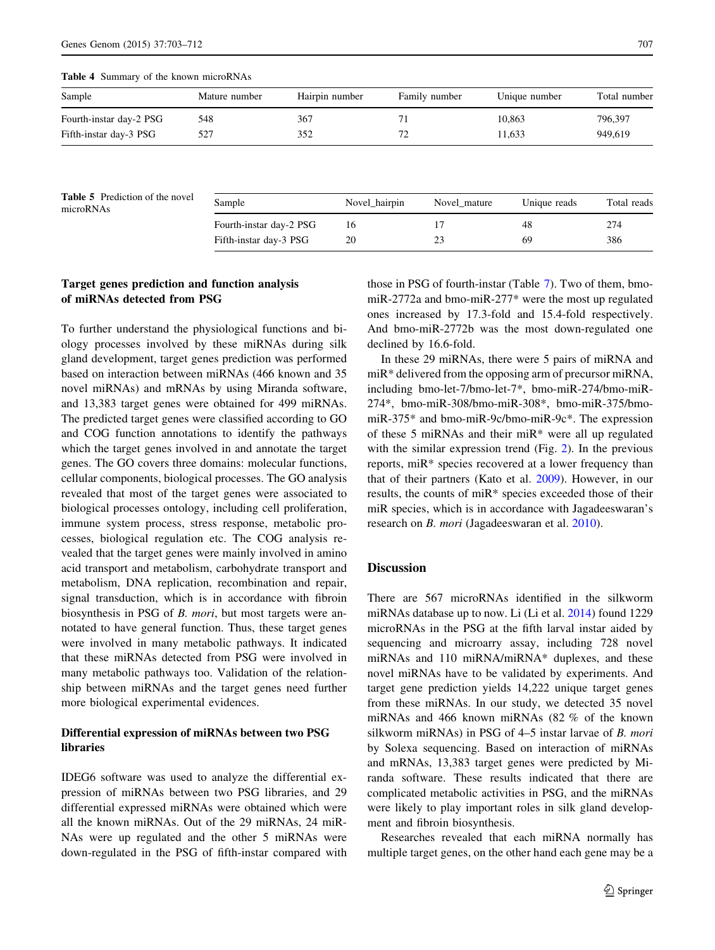<span id="page-4-0"></span>Table 4 Summary of the known microRNAs

| Sample                  | Mature number | Hairpin number | Family number | Unique number | Total number |
|-------------------------|---------------|----------------|---------------|---------------|--------------|
| Fourth-instar day-2 PSG | 548           | 367            |               | 10.863        | 796,397      |
| Fifth-instar day-3 PSG  | 527           | 352            |               | 11.633        | 949,619      |

Table 5 Prediction of the novel<br>microRNAs

| <b>Table 5</b> Prediction of the novel<br>microRNAs | Sample                  | Novel hairpin | Novel mature | Unique reads | Total reads |
|-----------------------------------------------------|-------------------------|---------------|--------------|--------------|-------------|
|                                                     | Fourth-instar day-2 PSG | 16            |              | 48           | 274         |
|                                                     | Fifth-instar day-3 PSG  | 20            |              | 69           | 386         |
|                                                     |                         |               |              |              |             |

## Target genes prediction and function analysis of miRNAs detected from PSG

To further understand the physiological functions and biology processes involved by these miRNAs during silk gland development, target genes prediction was performed based on interaction between miRNAs (466 known and 35 novel miRNAs) and mRNAs by using Miranda software, and 13,383 target genes were obtained for 499 miRNAs. The predicted target genes were classified according to GO and COG function annotations to identify the pathways which the target genes involved in and annotate the target genes. The GO covers three domains: molecular functions, cellular components, biological processes. The GO analysis revealed that most of the target genes were associated to biological processes ontology, including cell proliferation, immune system process, stress response, metabolic processes, biological regulation etc. The COG analysis revealed that the target genes were mainly involved in amino acid transport and metabolism, carbohydrate transport and metabolism, DNA replication, recombination and repair, signal transduction, which is in accordance with fibroin biosynthesis in PSG of *B. mori*, but most targets were annotated to have general function. Thus, these target genes were involved in many metabolic pathways. It indicated that these miRNAs detected from PSG were involved in many metabolic pathways too. Validation of the relationship between miRNAs and the target genes need further more biological experimental evidences.

# Differential expression of miRNAs between two PSG libraries

IDEG6 software was used to analyze the differential expression of miRNAs between two PSG libraries, and 29 differential expressed miRNAs were obtained which were all the known miRNAs. Out of the 29 miRNAs, 24 miR-NAs were up regulated and the other 5 miRNAs were down-regulated in the PSG of fifth-instar compared with

those in PSG of fourth-instar (Table [7](#page-6-0)). Two of them, bmomiR-2772a and bmo-miR-277\* were the most up regulated ones increased by 17.3-fold and 15.4-fold respectively. And bmo-miR-2772b was the most down-regulated one declined by 16.6-fold.

In these 29 miRNAs, there were 5 pairs of miRNA and miR\* delivered from the opposing arm of precursor miRNA, including bmo-let-7/bmo-let-7\*, bmo-miR-274/bmo-miR-274\*, bmo-miR-308/bmo-miR-308\*, bmo-miR-375/bmomiR-375\* and bmo-miR-9c/bmo-miR-9c\*. The expression of these 5 miRNAs and their miR\* were all up regulated with the similar expression trend (Fig. [2\)](#page-7-0). In the previous reports, miR\* species recovered at a lower frequency than that of their partners (Kato et al. [2009\)](#page-8-0). However, in our results, the counts of miR\* species exceeded those of their miR species, which is in accordance with Jagadeeswaran's research on B. mori (Jagadeeswaran et al. [2010\)](#page-8-0).

## **Discussion**

There are 567 microRNAs identified in the silkworm miRNAs database up to now. Li (Li et al. [2014\)](#page-8-0) found 1229 microRNAs in the PSG at the fifth larval instar aided by sequencing and microarry assay, including 728 novel miRNAs and 110 miRNA/miRNA\* duplexes, and these novel miRNAs have to be validated by experiments. And target gene prediction yields 14,222 unique target genes from these miRNAs. In our study, we detected 35 novel miRNAs and 466 known miRNAs (82 % of the known silkworm miRNAs) in PSG of 4–5 instar larvae of B. mori by Solexa sequencing. Based on interaction of miRNAs and mRNAs, 13,383 target genes were predicted by Miranda software. These results indicated that there are complicated metabolic activities in PSG, and the miRNAs were likely to play important roles in silk gland development and fibroin biosynthesis.

Researches revealed that each miRNA normally has multiple target genes, on the other hand each gene may be a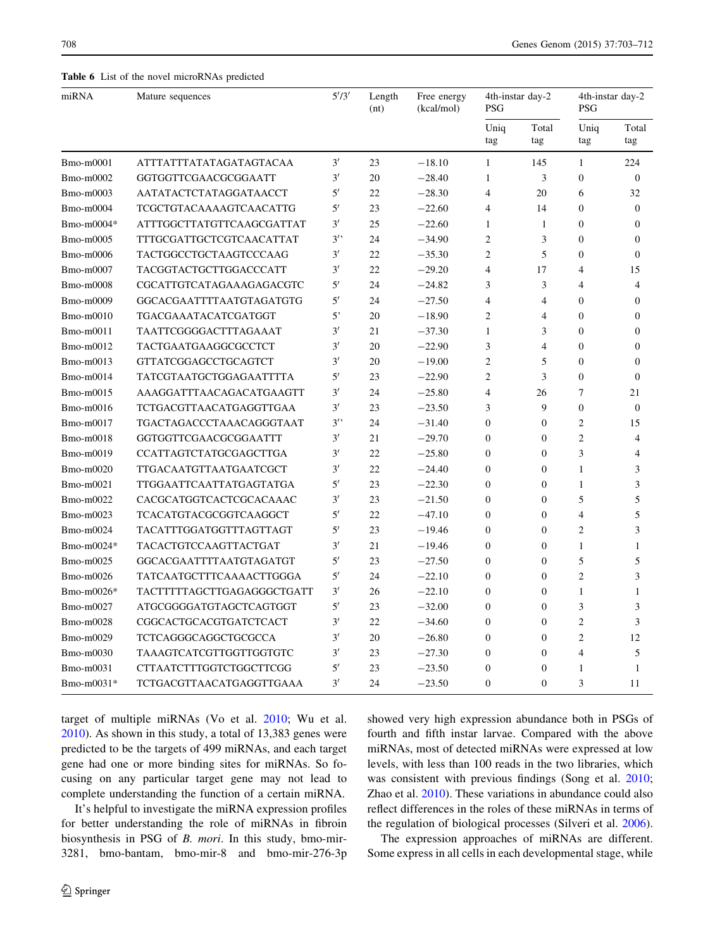<span id="page-5-0"></span>Table 6 List of the novel microRNAs predicted

| miRNA      | Mature sequences              | 5'/3'        | Length<br>(nt) | Free energy<br>(kcal/mol) | 4th-instar day-2<br><b>PSG</b> |                  | 4th-instar day-2<br><b>PSG</b> |                  |
|------------|-------------------------------|--------------|----------------|---------------------------|--------------------------------|------------------|--------------------------------|------------------|
|            |                               |              |                |                           | Uniq<br>tag                    | Total<br>tag     | Uniq<br>tag                    | Total<br>tag     |
| Bmo-m0001  | ATTTATTTATATAGATAGTACAA       | 3'           | 23             | $-18.10$                  | $\mathbf{1}$                   | 145              | $\mathbf{1}$                   | 224              |
| Bmo-m0002  | GGTGGTTCGAACGCGGAATT          | 3'           | 20             | $-28.40$                  | $\mathbf{1}$                   | 3                | $\Omega$                       | $\Omega$         |
| Bmo-m0003  | AATATACTCTATAGGATAACCT        | 5'           | 22             | $-28.30$                  | $\overline{4}$                 | 20               | 6                              | 32               |
| Bmo-m0004  | TCGCTGTACAAAAGTCAACATTG       | 5'           | 23             | $-22.60$                  | $\overline{4}$                 | 14               | $\mathbf{0}$                   | $\theta$         |
| Bmo-m0004* | ATTTGGCTTATGTTCAAGCGATTAT     | 3'           | 25             | $-22.60$                  | $\mathbf{1}$                   | $\mathbf{1}$     | $\mathbf{0}$                   | $\mathbf{0}$     |
| Bmo-m0005  | TTTGCGATTGCTCGTCAACATTAT      | 3'           | 24             | $-34.90$                  | $\overline{c}$                 | 3                | $\boldsymbol{0}$               | $\boldsymbol{0}$ |
| Bmo-m0006  | TACTGGCCTGCTAAGTCCCAAG        | 3'           | 22             | $-35.30$                  | $\overline{2}$                 | 5                | $\theta$                       | $\mathbf{0}$     |
| Bmo-m0007  | TACGGTACTGCTTGGACCCATT        | 3'           | 22             | $-29.20$                  | $\overline{4}$                 | 17               | $\overline{4}$                 | 15               |
| Bmo-m0008  | CGCATTGTCATAGAAAGAGACGTC      | 5'           | 24             | $-24.82$                  | 3                              | 3                | $\overline{4}$                 | $\overline{4}$   |
| Bmo-m0009  | GGCACGAATTTTAATGTAGATGTG      | 5′           | 24             | $-27.50$                  | $\overline{4}$                 | $\overline{4}$   | $\mathbf{0}$                   | $\mathbf{0}$     |
| Bmo-m0010  | TGACGAAATACATCGATGGT          | $5^{\circ}$  | 20             | $-18.90$                  | $\overline{c}$                 | $\overline{4}$   | $\Omega$                       | $\Omega$         |
| Bmo-m0011  | TAATTCGGGGACTTTAGAAAT         | 3'           | 21             | $-37.30$                  | $\mathbf{1}$                   | 3                | $\mathbf{0}$                   | $\mathbf{0}$     |
| Bmo-m0012  | TACTGAATGAAGGCGCCTCT          | 3'           | 20             | $-22.90$                  | 3                              | $\overline{4}$   | $\mathbf{0}$                   | $\mathbf{0}$     |
| Bmo-m0013  | <b>GTTATCGGAGCCTGCAGTCT</b>   | 3'           | 20             | $-19.00$                  | $\overline{2}$                 | 5                | $\mathbf{0}$                   | $\mathbf{0}$     |
| Bmo-m0014  | TATCGTAATGCTGGAGAATTTTA       | $5^{\prime}$ | 23             | $-22.90$                  | $\overline{c}$                 | 3                | $\boldsymbol{0}$               | $\boldsymbol{0}$ |
| Bmo-m0015  | AAAGGATTTAACAGACATGAAGTT      | 3'           | 24             | $-25.80$                  | $\overline{4}$                 | 26               | $\overline{7}$                 | 21               |
| Bmo-m0016  | TCTGACGTTAACATGAGGTTGAA       | 3'           | 23             | $-23.50$                  | 3                              | 9                | $\mathbf{0}$                   | $\mathbf{0}$     |
| Bmo-m0017  | TGACTAGACCCTAAACAGGGTAAT      | 3'           | 24             | $-31.40$                  | $\mathbf{0}$                   | $\mathbf{0}$     | $\overline{2}$                 | 15               |
| Bmo-m0018  | GGTGGTTCGAACGCGGAATTT         | 3'           | 21             | $-29.70$                  | $\mathbf{0}$                   | $\mathbf{0}$     | $\overline{2}$                 | $\overline{4}$   |
| Bmo-m0019  | CCATTAGTCTATGCGAGCTTGA        | 3'           | 22             | $-25.80$                  | $\Omega$                       | $\Omega$         | 3                              | $\overline{4}$   |
| Bmo-m0020  | <b>TTGACAATGTTAATGAATCGCT</b> | 3'           | 22             | $-24.40$                  | $\mathbf{0}$                   | $\mathbf{0}$     | $\mathbf{1}$                   | 3                |
| Bmo-m0021  | TTGGAATTCAATTATGAGTATGA       | 5'           | 23             | $-22.30$                  | $\mathbf{0}$                   | $\mathbf{0}$     | $\mathbf{1}$                   | 3                |
| Bmo-m0022  | CACGCATGGTCACTCGCACAAAC       | 3'           | 23             | $-21.50$                  | $\boldsymbol{0}$               | $\mathbf{0}$     | 5                              | 5                |
| Bmo-m0023  | TCACATGTACGCGGTCAAGGCT        | $5^{\prime}$ | 22             | $-47.10$                  | $\boldsymbol{0}$               | $\boldsymbol{0}$ | $\overline{4}$                 | 5                |
| Bmo-m0024  | TACATTTGGATGGTTTAGTTAGT       | 5'           | 23             | $-19.46$                  | $\overline{0}$                 | $\Omega$         | $\overline{2}$                 | 3                |
| Bmo-m0024* | TACACTGTCCAAGTTACTGAT         | 3'           | 21             | $-19.46$                  | $\mathbf{0}$                   | $\mathbf{0}$     | $\mathbf{1}$                   | $\mathbf{1}$     |
| Bmo-m0025  | GGCACGAATTTTAATGTAGATGT       | 5'           | 23             | $-27.50$                  | $\mathbf{0}$                   | $\mathbf{0}$     | 5                              | 5                |
| Bmo-m0026  | TATCAATGCTTTCAAAACTTGGGA      | 5'           | 24             | $-22.10$                  | $\boldsymbol{0}$               | $\mathbf{0}$     | $\overline{2}$                 | 3                |
| Bmo-m0026* | TACTTTTTAGCTTGAGAGGGCTGATT    | 3'           | 26             | $-22.10$                  | $\boldsymbol{0}$               | $\Omega$         | 1                              | 1                |
| Bmo-m0027  | ATGCGGGGATGTAGCTCAGTGGT       | 5'           | 23             | $-32.00$                  | $\mathbf{0}$                   | $\mathbf{0}$     | 3                              | 3                |
| Bmo-m0028  | CGGCACTGCACGTGATCTCACT        | 3'           | 22             | $-34.60$                  | $\boldsymbol{0}$               | $\mathbf{0}$     | $\overline{2}$                 | 3                |
| Bmo-m0029  | TCTCAGGGCAGGCTGCGCCA          | 3'           | 20             | $-26.80$                  | $\boldsymbol{0}$               | $\mathbf{0}$     | $\overline{2}$                 | 12               |
| Bmo-m0030  | TAAAGTCATCGTTGGTTGGTGTC       | 3'           | 23             | $-27.30$                  | $\boldsymbol{0}$               | $\boldsymbol{0}$ | $\overline{4}$                 | 5                |
| Bmo-m0031  | CTTAATCTTTGGTCTGGCTTCGG       | 5'           | 23             | $-23.50$                  | $\mathbf{0}$                   | $\theta$         | $\mathbf{1}$                   | 1                |
| Bmo-m0031* | TCTGACGTTAACATGAGGTTGAAA      | 3'           | 24             | $-23.50$                  | $\mathbf{0}$                   | $\Omega$         | 3                              | 11               |

target of multiple miRNAs (Vo et al. [2010](#page-9-0); Wu et al. [2010\)](#page-9-0). As shown in this study, a total of 13,383 genes were predicted to be the targets of 499 miRNAs, and each target gene had one or more binding sites for miRNAs. So focusing on any particular target gene may not lead to complete understanding the function of a certain miRNA.

It's helpful to investigate the miRNA expression profiles for better understanding the role of miRNAs in fibroin biosynthesis in PSG of B. mori. In this study, bmo-mir-3281, bmo-bantam, bmo-mir-8 and bmo-mir-276-3p showed very high expression abundance both in PSGs of fourth and fifth instar larvae. Compared with the above miRNAs, most of detected miRNAs were expressed at low levels, with less than 100 reads in the two libraries, which was consistent with previous findings (Song et al. [2010](#page-9-0); Zhao et al. [2010](#page-9-0)). These variations in abundance could also reflect differences in the roles of these miRNAs in terms of the regulation of biological processes (Silveri et al. [2006](#page-9-0)).

The expression approaches of miRNAs are different. Some express in all cells in each developmental stage, while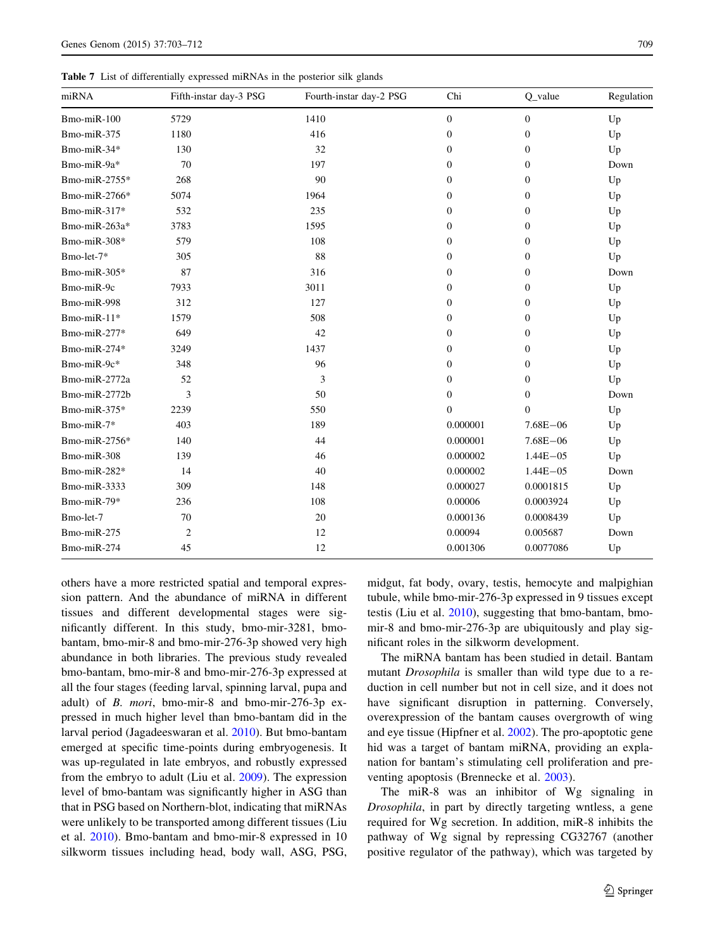<span id="page-6-0"></span>Table 7 List of differentially expressed miRNAs in the posterior silk glands

| miRNA         | Fifth-instar day-3 PSG | Fourth-instar day-2 PSG | Chi              | $Q$ _value       | Regulation |
|---------------|------------------------|-------------------------|------------------|------------------|------------|
| Bmo-miR-100   | 5729                   | 1410                    | $\boldsymbol{0}$ | $\mathbf{0}$     | Up         |
| Bmo-miR-375   | 1180                   | 416                     | $\mathbf{0}$     | $\mathbf{0}$     | Up         |
| Bmo-miR-34*   | 130                    | 32                      | $\mathbf{0}$     | $\mathbf{0}$     | Up         |
| Bmo-miR-9a*   | 70                     | 197                     | $\mathbf{0}$     | $\mathbf{0}$     | Down       |
| Bmo-miR-2755* | 268                    | 90                      | $\Omega$         | $\Omega$         | Up         |
| Bmo-miR-2766* | 5074                   | 1964                    | 0                | $\mathbf{0}$     | Up         |
| Bmo-miR-317*  | 532                    | 235                     | $\boldsymbol{0}$ | $\boldsymbol{0}$ | Up         |
| Bmo-miR-263a* | 3783                   | 1595                    | $\mathbf{0}$     | $\mathbf{0}$     | Up         |
| Bmo-miR-308*  | 579                    | 108                     | $\mathbf{0}$     | $\mathbf{0}$     | Up         |
| Bmo-let-7*    | 305                    | 88                      | 0                | $\mathbf{0}$     | Up         |
| Bmo-miR-305*  | 87                     | 316                     | $\mathbf{0}$     | $\mathbf{0}$     | Down       |
| Bmo-miR-9c    | 7933                   | 3011                    | $\mathbf{0}$     | $\mathbf{0}$     | Up         |
| Bmo-miR-998   | 312                    | 127                     | $\Omega$         | $\mathbf{0}$     | Up         |
| Bmo-miR-11*   | 1579                   | 508                     | $\boldsymbol{0}$ | $\boldsymbol{0}$ | Up         |
| Bmo-miR-277*  | 649                    | 42                      | $\mathbf{0}$     | $\mathbf{0}$     | Up         |
| Bmo-miR-274*  | 3249                   | 1437                    | $\mathbf{0}$     | $\mathbf{0}$     | Up         |
| Bmo-miR-9c*   | 348                    | 96                      | $\Omega$         | $\theta$         | Up         |
| Bmo-miR-2772a | 52                     | 3                       | 0                | $\mathbf{0}$     | Up         |
| Bmo-miR-2772b | 3                      | 50                      | $\mathbf{0}$     | $\mathbf{0}$     | Down       |
| Bmo-miR-375*  | 2239                   | 550                     | $\Omega$         | $\Omega$         | Up         |
| Bmo-miR-7*    | 403                    | 189                     | 0.000001         | $7.68E - 06$     | Up         |
| Bmo-miR-2756* | 140                    | 44                      | 0.000001         | $7.68E - 06$     | Up         |
| Bmo-miR-308   | 139                    | 46                      | 0.000002         | $1.44E - 05$     | Up         |
| Bmo-miR-282*  | 14                     | 40                      | 0.000002         | $1.44E - 05$     | Down       |
| Bmo-miR-3333  | 309                    | 148                     | 0.000027         | 0.0001815        | Up         |
| Bmo-miR-79*   | 236                    | 108                     | 0.00006          | 0.0003924        | Up         |
| Bmo-let-7     | 70                     | 20                      | 0.000136         | 0.0008439        | Up         |
| Bmo-miR-275   | $\overline{2}$         | 12                      | 0.00094          | 0.005687         | Down       |
| Bmo-miR-274   | 45                     | 12                      | 0.001306         | 0.0077086        | Up         |

others have a more restricted spatial and temporal expression pattern. And the abundance of miRNA in different tissues and different developmental stages were significantly different. In this study, bmo-mir-3281, bmobantam, bmo-mir-8 and bmo-mir-276-3p showed very high abundance in both libraries. The previous study revealed bmo-bantam, bmo-mir-8 and bmo-mir-276-3p expressed at all the four stages (feeding larval, spinning larval, pupa and adult) of B. mori, bmo-mir-8 and bmo-mir-276-3p expressed in much higher level than bmo-bantam did in the larval period (Jagadeeswaran et al. [2010\)](#page-8-0). But bmo-bantam emerged at specific time-points during embryogenesis. It was up-regulated in late embryos, and robustly expressed from the embryo to adult (Liu et al. [2009](#page-8-0)). The expression level of bmo-bantam was significantly higher in ASG than that in PSG based on Northern-blot, indicating that miRNAs were unlikely to be transported among different tissues (Liu et al. [2010](#page-8-0)). Bmo-bantam and bmo-mir-8 expressed in 10 silkworm tissues including head, body wall, ASG, PSG,

midgut, fat body, ovary, testis, hemocyte and malpighian tubule, while bmo-mir-276-3p expressed in 9 tissues except testis (Liu et al. [2010\)](#page-8-0), suggesting that bmo-bantam, bmomir-8 and bmo-mir-276-3p are ubiquitously and play significant roles in the silkworm development.

The miRNA bantam has been studied in detail. Bantam mutant Drosophila is smaller than wild type due to a reduction in cell number but not in cell size, and it does not have significant disruption in patterning. Conversely, overexpression of the bantam causes overgrowth of wing and eye tissue (Hipfner et al. [2002\)](#page-8-0). The pro-apoptotic gene hid was a target of bantam miRNA, providing an explanation for bantam's stimulating cell proliferation and preventing apoptosis (Brennecke et al. [2003\)](#page-8-0).

The miR-8 was an inhibitor of Wg signaling in Drosophila, in part by directly targeting wntless, a gene required for Wg secretion. In addition, miR-8 inhibits the pathway of Wg signal by repressing CG32767 (another positive regulator of the pathway), which was targeted by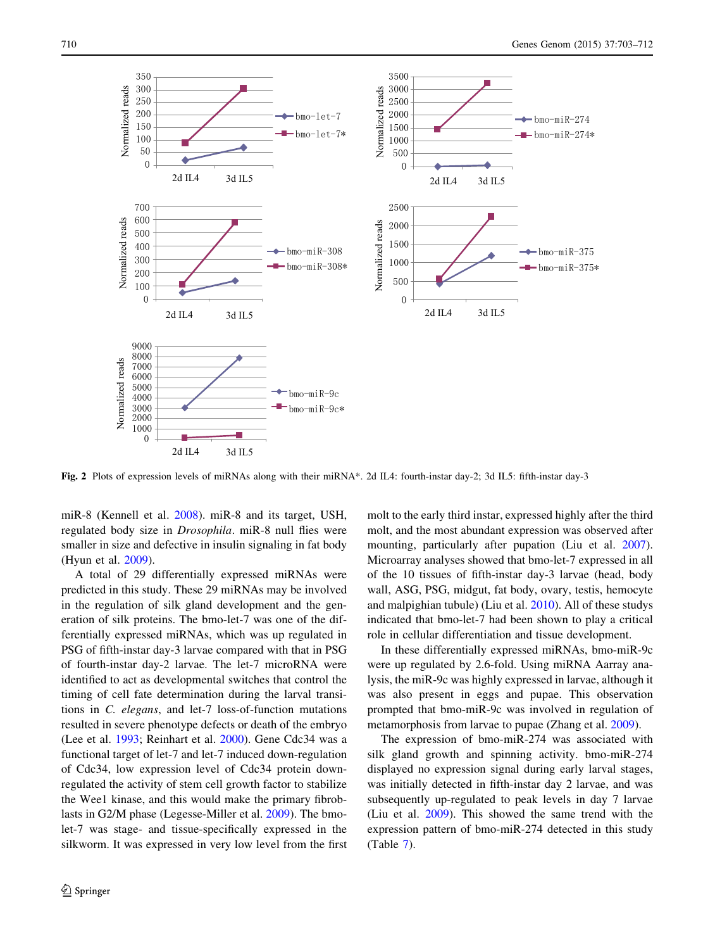<span id="page-7-0"></span>

Fig. 2 Plots of expression levels of miRNAs along with their miRNA\*. 2d IL4: fourth-instar day-2; 3d IL5: fifth-instar day-3

miR-8 (Kennell et al. [2008](#page-8-0)). miR-8 and its target, USH, regulated body size in Drosophila. miR-8 null flies were smaller in size and defective in insulin signaling in fat body (Hyun et al. [2009](#page-8-0)).

A total of 29 differentially expressed miRNAs were predicted in this study. These 29 miRNAs may be involved in the regulation of silk gland development and the generation of silk proteins. The bmo-let-7 was one of the differentially expressed miRNAs, which was up regulated in PSG of fifth-instar day-3 larvae compared with that in PSG of fourth-instar day-2 larvae. The let-7 microRNA were identified to act as developmental switches that control the timing of cell fate determination during the larval transitions in C. elegans, and let-7 loss-of-function mutations resulted in severe phenotype defects or death of the embryo (Lee et al. [1993](#page-8-0); Reinhart et al. [2000](#page-9-0)). Gene Cdc34 was a functional target of let-7 and let-7 induced down-regulation of Cdc34, low expression level of Cdc34 protein downregulated the activity of stem cell growth factor to stabilize the Wee1 kinase, and this would make the primary fibroblasts in G2/M phase (Legesse-Miller et al. [2009\)](#page-8-0). The bmolet-7 was stage- and tissue-specifically expressed in the silkworm. It was expressed in very low level from the first

molt to the early third instar, expressed highly after the third molt, and the most abundant expression was observed after mounting, particularly after pupation (Liu et al. [2007](#page-8-0)). Microarray analyses showed that bmo-let-7 expressed in all of the 10 tissues of fifth-instar day-3 larvae (head, body wall, ASG, PSG, midgut, fat body, ovary, testis, hemocyte and malpighian tubule) (Liu et al. [2010](#page-8-0)). All of these studys indicated that bmo-let-7 had been shown to play a critical role in cellular differentiation and tissue development.

In these differentially expressed miRNAs, bmo-miR-9c were up regulated by 2.6-fold. Using miRNA Aarray analysis, the miR-9c was highly expressed in larvae, although it was also present in eggs and pupae. This observation prompted that bmo-miR-9c was involved in regulation of metamorphosis from larvae to pupae (Zhang et al. [2009\)](#page-9-0).

The expression of bmo-miR-274 was associated with silk gland growth and spinning activity. bmo-miR-274 displayed no expression signal during early larval stages, was initially detected in fifth-instar day 2 larvae, and was subsequently up-regulated to peak levels in day 7 larvae (Liu et al. [2009](#page-8-0)). This showed the same trend with the expression pattern of bmo-miR-274 detected in this study (Table [7\)](#page-6-0).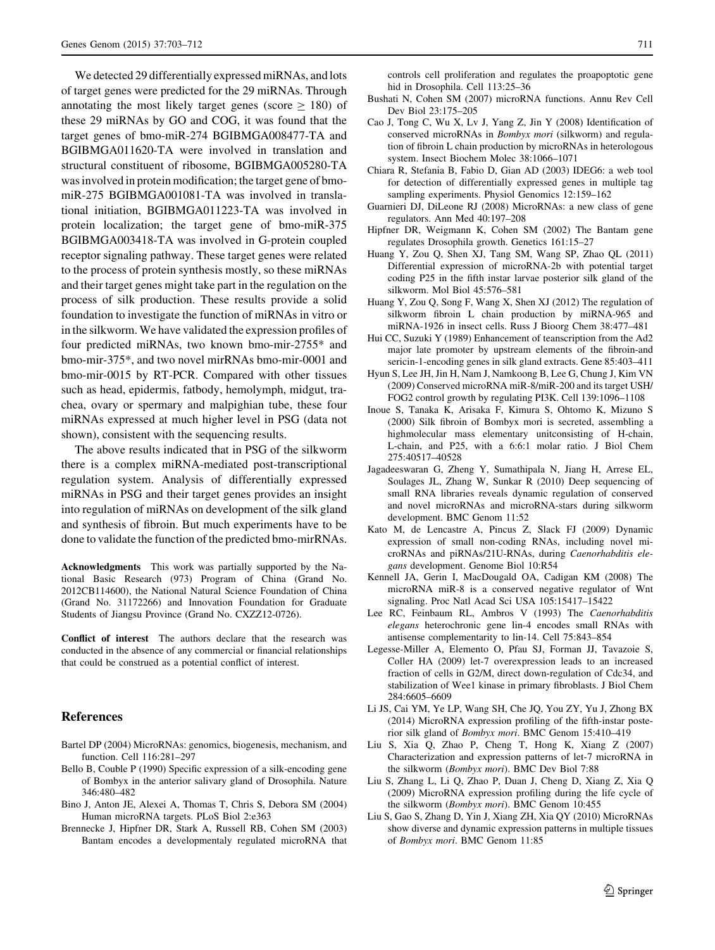<span id="page-8-0"></span>We detected 29 differentially expressed miRNAs, and lots of target genes were predicted for the 29 miRNAs. Through annotating the most likely target genes (score  $> 180$ ) of these 29 miRNAs by GO and COG, it was found that the target genes of bmo-miR-274 BGIBMGA008477-TA and BGIBMGA011620-TA were involved in translation and structural constituent of ribosome, BGIBMGA005280-TA was involved in protein modification; the target gene of bmomiR-275 BGIBMGA001081-TA was involved in translational initiation, BGIBMGA011223-TA was involved in protein localization; the target gene of bmo-miR-375 BGIBMGA003418-TA was involved in G-protein coupled receptor signaling pathway. These target genes were related to the process of protein synthesis mostly, so these miRNAs and their target genes might take part in the regulation on the process of silk production. These results provide a solid foundation to investigate the function of miRNAs in vitro or in the silkworm. We have validated the expression profiles of four predicted miRNAs, two known bmo-mir-2755\* and bmo-mir-375\*, and two novel mirRNAs bmo-mir-0001 and bmo-mir-0015 by RT-PCR. Compared with other tissues such as head, epidermis, fatbody, hemolymph, midgut, trachea, ovary or spermary and malpighian tube, these four miRNAs expressed at much higher level in PSG (data not shown), consistent with the sequencing results.

The above results indicated that in PSG of the silkworm there is a complex miRNA-mediated post-transcriptional regulation system. Analysis of differentially expressed miRNAs in PSG and their target genes provides an insight into regulation of miRNAs on development of the silk gland and synthesis of fibroin. But much experiments have to be done to validate the function of the predicted bmo-mirRNAs.

Acknowledgments This work was partially supported by the National Basic Research (973) Program of China (Grand No. 2012CB114600), the National Natural Science Foundation of China (Grand No. 31172266) and Innovation Foundation for Graduate Students of Jiangsu Province (Grand No. CXZZ12-0726).

Conflict of interest The authors declare that the research was conducted in the absence of any commercial or financial relationships that could be construed as a potential conflict of interest.

#### References

- Bartel DP (2004) MicroRNAs: genomics, biogenesis, mechanism, and function. Cell 116:281–297
- Bello B, Couble P (1990) Specific expression of a silk-encoding gene of Bombyx in the anterior salivary gland of Drosophila. Nature 346:480–482
- Bino J, Anton JE, Alexei A, Thomas T, Chris S, Debora SM (2004) Human microRNA targets. PLoS Biol 2:e363
- Brennecke J, Hipfner DR, Stark A, Russell RB, Cohen SM (2003) Bantam encodes a developmentaly regulated microRNA that

controls cell proliferation and regulates the proapoptotic gene hid in Drosophila. Cell 113:25–36

- Bushati N, Cohen SM (2007) microRNA functions. Annu Rev Cell Dev Biol 23:175–205
- Cao J, Tong C, Wu X, Lv J, Yang Z, Jin Y (2008) Identification of conserved microRNAs in Bombyx mori (silkworm) and regulation of fibroin L chain production by microRNAs in heterologous system. Insect Biochem Molec 38:1066–1071
- Chiara R, Stefania B, Fabio D, Gian AD (2003) IDEG6: a web tool for detection of differentially expressed genes in multiple tag sampling experiments. Physiol Genomics 12:159–162
- Guarnieri DJ, DiLeone RJ (2008) MicroRNAs: a new class of gene regulators. Ann Med 40:197–208
- Hipfner DR, Weigmann K, Cohen SM (2002) The Bantam gene regulates Drosophila growth. Genetics 161:15–27
- Huang Y, Zou Q, Shen XJ, Tang SM, Wang SP, Zhao QL (2011) Differential expression of microRNA-2b with potential target coding P25 in the fifth instar larvae posterior silk gland of the silkworm. Mol Biol 45:576–581
- Huang Y, Zou Q, Song F, Wang X, Shen XJ (2012) The regulation of silkworm fibroin L chain production by miRNA-965 and miRNA-1926 in insect cells. Russ J Bioorg Chem 38:477–481
- Hui CC, Suzuki Y (1989) Enhancement of teanscription from the Ad2 major late promoter by upstream elements of the fibroin-and sericin-1-encoding genes in silk gland extracts. Gene 85:403–411
- Hyun S, Lee JH, Jin H, Nam J, Namkoong B, Lee G, Chung J, Kim VN (2009) Conserved microRNA miR-8/miR-200 and its target USH/ FOG2 control growth by regulating PI3K. Cell 139:1096–1108
- Inoue S, Tanaka K, Arisaka F, Kimura S, Ohtomo K, Mizuno S (2000) Silk fibroin of Bombyx mori is secreted, assembling a highmolecular mass elementary unitconsisting of H-chain, L-chain, and P25, with a 6:6:1 molar ratio. J Biol Chem 275:40517–40528
- Jagadeeswaran G, Zheng Y, Sumathipala N, Jiang H, Arrese EL, Soulages JL, Zhang W, Sunkar R (2010) Deep sequencing of small RNA libraries reveals dynamic regulation of conserved and novel microRNAs and microRNA-stars during silkworm development. BMC Genom 11:52
- Kato M, de Lencastre A, Pincus Z, Slack FJ (2009) Dynamic expression of small non-coding RNAs, including novel microRNAs and piRNAs/21U-RNAs, during Caenorhabditis elegans development. Genome Biol 10:R54
- Kennell JA, Gerin I, MacDougald OA, Cadigan KM (2008) The microRNA miR-8 is a conserved negative regulator of Wnt signaling. Proc Natl Acad Sci USA 105:15417–15422
- Lee RC, Feinbaum RL, Ambros V (1993) The Caenorhabditis elegans heterochronic gene lin-4 encodes small RNAs with antisense complementarity to lin-14. Cell 75:843–854
- Legesse-Miller A, Elemento O, Pfau SJ, Forman JJ, Tavazoie S, Coller HA (2009) let-7 overexpression leads to an increased fraction of cells in G2/M, direct down-regulation of Cdc34, and stabilization of Wee1 kinase in primary fibroblasts. J Biol Chem 284:6605–6609
- Li JS, Cai YM, Ye LP, Wang SH, Che JQ, You ZY, Yu J, Zhong BX (2014) MicroRNA expression profiling of the fifth-instar posterior silk gland of Bombyx mori. BMC Genom 15:410–419
- Liu S, Xia Q, Zhao P, Cheng T, Hong K, Xiang Z (2007) Characterization and expression patterns of let-7 microRNA in the silkworm (Bombyx mori). BMC Dev Biol 7:88
- Liu S, Zhang L, Li Q, Zhao P, Duan J, Cheng D, Xiang Z, Xia Q (2009) MicroRNA expression profiling during the life cycle of the silkworm (Bombyx mori). BMC Genom 10:455
- Liu S, Gao S, Zhang D, Yin J, Xiang ZH, Xia QY (2010) MicroRNAs show diverse and dynamic expression patterns in multiple tissues of Bombyx mori. BMC Genom 11:85